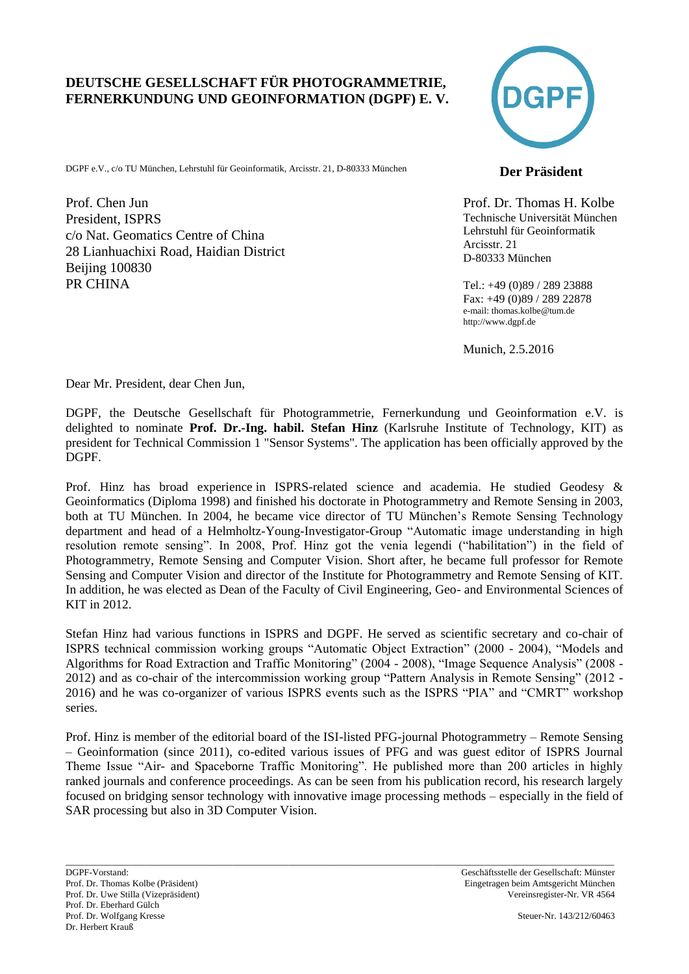#### **DEUTSCHE GESELLSCHAFT FÜR PHOTOGRAMMETRIE, FERNERKUNDUNG UND GEOINFORMATION (DGPF) E. V.**

DGPF e.V., c/o TU München, Lehrstuhl für Geoinformatik, Arcisstr. 21, D-80333 München **Der Präsident** 

Prof. Chen Jun President, ISPRS c/o Nat. Geomatics Centre of China 28 Lianhuachixi Road, Haidian District Beijing 100830 PR CHINA



Prof. Dr. Thomas H. Kolbe Technische Universität München Lehrstuhl für Geoinformatik Arcisstr. 21 D-80333 München

Tel.: +49 (0)89 / 289 23888 Fax: +49 (0)89 / 289 22878 e-mail: thomas.kolbe@tum.de http://www.dgpf.de

Munich, 2.5.2016

Dear Mr. President, dear Chen Jun,

DGPF, the Deutsche Gesellschaft für Photogrammetrie, Fernerkundung und Geoinformation e.V. is delighted to nominate **Prof. Dr.-Ing. habil. Stefan Hinz** (Karlsruhe Institute of Technology, KIT) as president for Technical Commission 1 "Sensor Systems". The application has been officially approved by the DGPF.

Prof. Hinz has broad experience in ISPRS-related science and academia. He studied Geodesy & Geoinformatics (Diploma 1998) and finished his doctorate in Photogrammetry and Remote Sensing in 2003, both at TU München. In 2004, he became vice director of TU München's Remote Sensing Technology department and head of a Helmholtz-Young-Investigator-Group "Automatic image understanding in high resolution remote sensing". In 2008, Prof. Hinz got the venia legendi ("habilitation") in the field of Photogrammetry, Remote Sensing and Computer Vision. Short after, he became full professor for Remote Sensing and Computer Vision and director of the Institute for Photogrammetry and Remote Sensing of KIT. In addition, he was elected as Dean of the Faculty of Civil Engineering, Geo- and Environmental Sciences of KIT in 2012.

Stefan Hinz had various functions in ISPRS and DGPF. He served as scientific secretary and co-chair of ISPRS technical commission working groups "Automatic Object Extraction" (2000 - 2004), "Models and Algorithms for Road Extraction and Traffic Monitoring" (2004 - 2008), "Image Sequence Analysis" (2008 - 2012) and as co-chair of the intercommission working group "Pattern Analysis in Remote Sensing" (2012 - 2016) and he was co-organizer of various ISPRS events such as the ISPRS "PIA" and "CMRT" workshop series.

Prof. Hinz is member of the editorial board of the ISI-listed PFG-journal Photogrammetry – Remote Sensing – Geoinformation (since 2011), co-edited various issues of PFG and was guest editor of ISPRS Journal Theme Issue "Air- and Spaceborne Traffic Monitoring". He published more than 200 articles in highly ranked journals and conference proceedings. As can be seen from his publication record, his research largely focused on bridging sensor technology with innovative image processing methods – especially in the field of SAR processing but also in 3D Computer Vision.

\_\_\_\_\_\_\_\_\_\_\_\_\_\_\_\_\_\_\_\_\_\_\_\_\_\_\_\_\_\_\_\_\_\_\_\_\_\_\_\_\_\_\_\_\_\_\_\_\_\_\_\_\_\_\_\_\_\_\_\_\_\_\_\_\_\_\_\_\_\_\_\_\_\_\_\_\_\_\_\_\_\_\_\_\_\_\_\_\_\_\_\_\_\_\_\_\_\_\_\_\_\_\_\_\_\_\_\_\_\_\_\_\_\_\_\_\_\_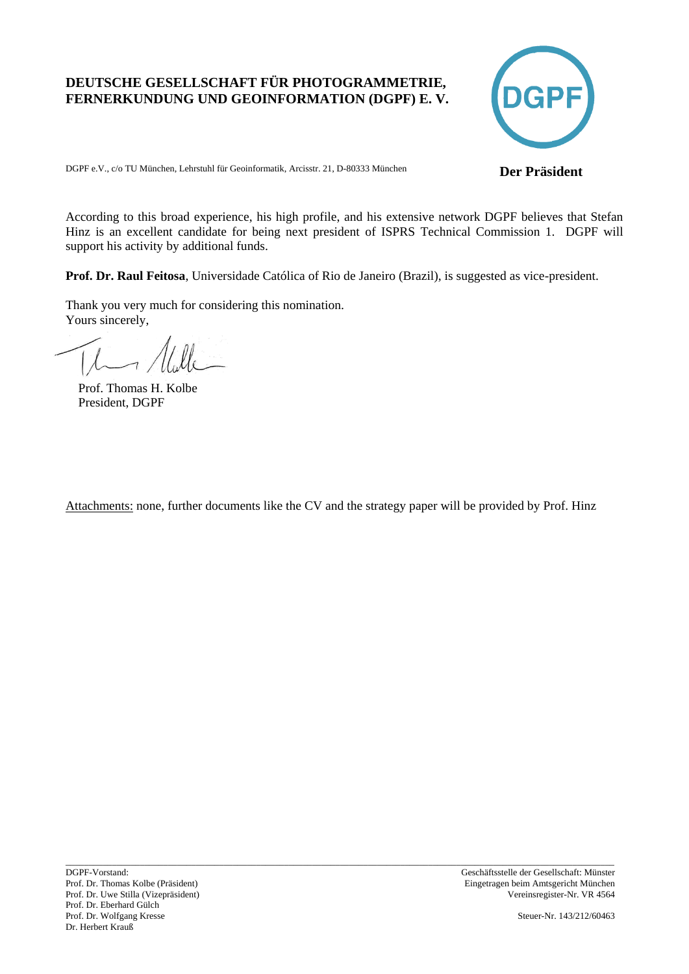### **DEUTSCHE GESELLSCHAFT FÜR PHOTOGRAMMETRIE, FERNERKUNDUNG UND GEOINFORMATION (DGPF) E. V.**



DGPF e.V., c/o TU München, Lehrstuhl für Geoinformatik, Arcisstr. 21, D-80333 München **Der Präsident** 

According to this broad experience, his high profile, and his extensive network DGPF believes that Stefan Hinz is an excellent candidate for being next president of ISPRS Technical Commission 1. DGPF will support his activity by additional funds.

**Prof. Dr. Raul Feitosa**, Universidade Católica of Rio de Janeiro (Brazil), is suggested as vice-president.

Thank you very much for considering this nomination. Yours sincerely,

 Prof. Thomas H. Kolbe President, DGPF

Attachments: none, further documents like the CV and the strategy paper will be provided by Prof. Hinz

\_\_\_\_\_\_\_\_\_\_\_\_\_\_\_\_\_\_\_\_\_\_\_\_\_\_\_\_\_\_\_\_\_\_\_\_\_\_\_\_\_\_\_\_\_\_\_\_\_\_\_\_\_\_\_\_\_\_\_\_\_\_\_\_\_\_\_\_\_\_\_\_\_\_\_\_\_\_\_\_\_\_\_\_\_\_\_\_\_\_\_\_\_\_\_\_\_\_\_\_\_\_\_\_\_\_\_\_\_\_\_\_\_\_\_\_\_\_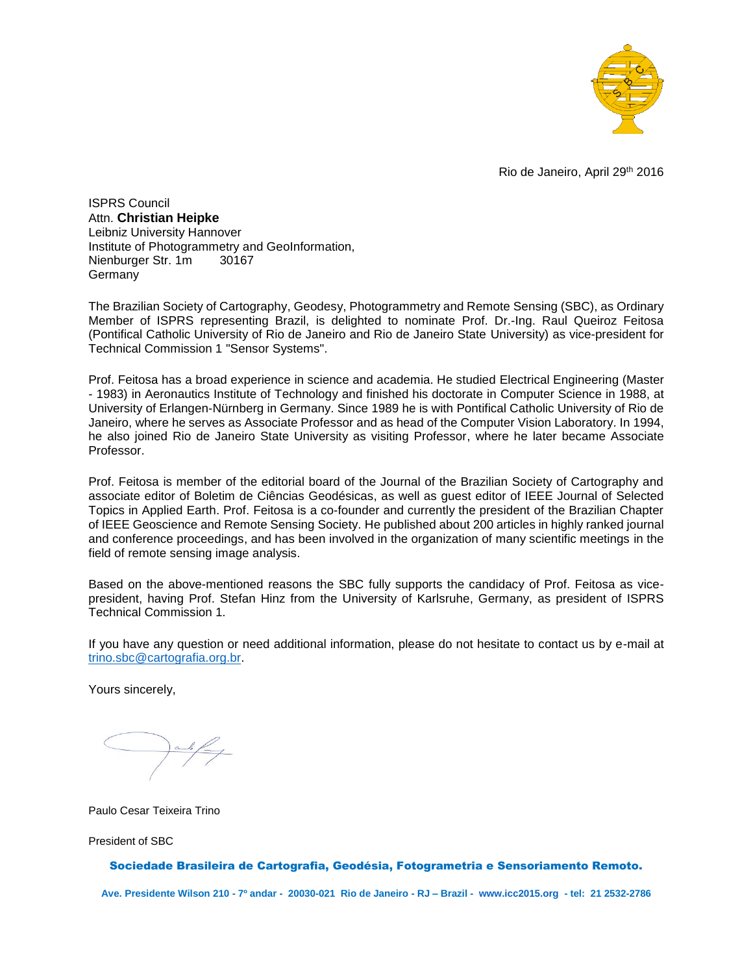

Rio de Janeiro, April 29th 2016

ISPRS Council Attn. **Christian Heipke** Leibniz University Hannover Institute of Photogrammetry and GeoInformation, Nienburger Str. 1m 30167 Germany

The Brazilian Society of Cartography, Geodesy, Photogrammetry and Remote Sensing (SBC), as Ordinary Member of ISPRS representing Brazil, is delighted to nominate Prof. Dr.-Ing. Raul Queiroz Feitosa (Pontifical Catholic University of Rio de Janeiro and Rio de Janeiro State University) as vice-president for Technical Commission 1 "Sensor Systems".

Prof. Feitosa has a broad experience in science and academia. He studied Electrical Engineering (Master - 1983) in Aeronautics Institute of Technology and finished his doctorate in Computer Science in 1988, at University of Erlangen-Nürnberg in Germany. Since 1989 he is with Pontifical Catholic University of Rio de Janeiro, where he serves as Associate Professor and as head of the Computer Vision Laboratory. In 1994, he also joined Rio de Janeiro State University as visiting Professor, where he later became Associate Professor.

Prof. Feitosa is member of the editorial board of the Journal of the Brazilian Society of Cartography and associate editor of Boletim de Ciências Geodésicas, as well as guest editor of IEEE Journal of Selected Topics in Applied Earth. Prof. Feitosa is a co-founder and currently the president of the Brazilian Chapter of IEEE Geoscience and Remote Sensing Society. He published about 200 articles in highly ranked journal and conference proceedings, and has been involved in the organization of many scientific meetings in the field of remote sensing image analysis.

Based on the above-mentioned reasons the SBC fully supports the candidacy of Prof. Feitosa as vicepresident, having Prof. Stefan Hinz from the University of Karlsruhe, Germany, as president of ISPRS Technical Commission 1.

If you have any question or need additional information, please do not hesitate to contact us by e-mail at [trino.sbc@cartografia.org.br.](mailto:trino.sbc@cartografia.org.br)

Yours sincerely,

Paulo Cesar Teixeira Trino

President of SBC

#### Sociedade Brasileira de Cartografia, Geodésia, Fotogrametria e Sensoriamento Remoto.

**Ave. Presidente Wilson 210 - 7º andar - 20030-021 Rio de Janeiro - RJ – Brazil - [www.icc2015.org](http://www.icc2015.org/) - tel: 21 2532-2786**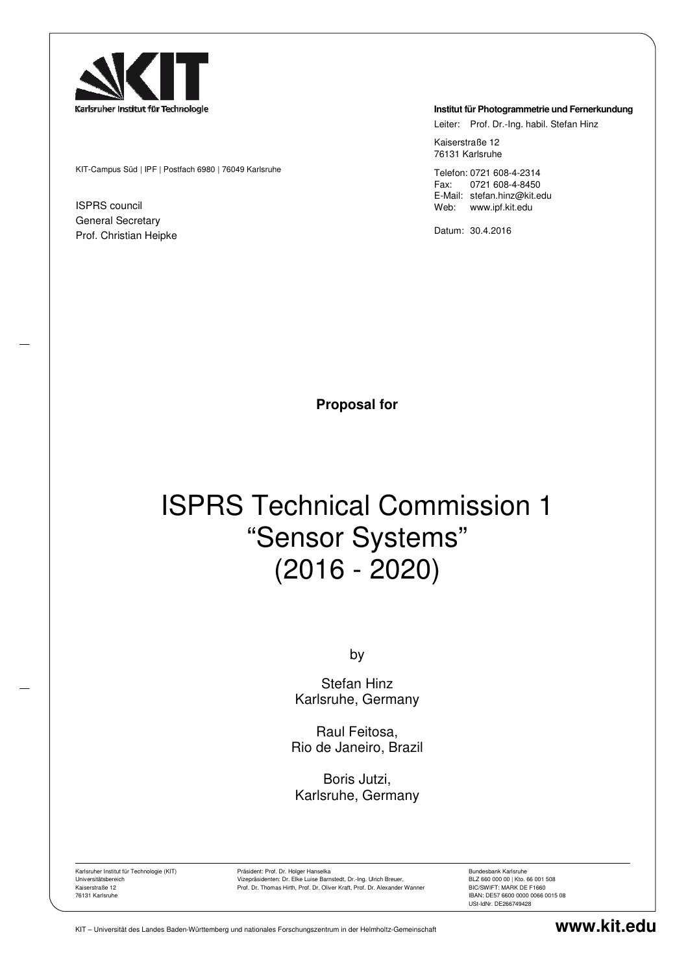

KIT-Campus Süd | IPF | Postfach 6980 | 76049 Karlsruhe

ISPRS council General Secretary Prof. Christian Heipke

#### **Institut für Photogrammetrie und Fernerkundung**

Leiter: Prof. Dr.-Ing. habil. Stefan Hinz

Kaiserstraße 12 76131 Karlsruhe

Telefon: 0721 608-4-2314 Fax: 0721 608-4-8450 E-Mail: stefan.hinz@kit.edu Web: www.ipf.kit.edu

Datum: 30.4.2016

**Proposal for** 

# ISPRS Technical Commission 1 "Sensor Systems" (2016 - 2020)

by

Stefan Hinz Karlsruhe, Germany

Raul Feitosa, Rio de Janeiro, Brazil

Boris Jutzi, Karlsruhe, Germany

Karlsruher Institut für Technologie (KIT) Universitätsbereich Kaiserstraße 12 76131 Karlsruhe

Präsident: Prof. Dr. Holger Hanselka Vizepräsidenten: Dr. Elke Luise Barnstedt, Dr.-Ing. Ulrich Breuer, Prof. Dr. Thomas Hirth, Prof. Dr. Oliver Kraft, Prof. Dr. Alexander Wanner Bundesbank Karlsruhe BLZ 660 000 00 | Kto. 66 001 508 BIC/SWIFT: MARK DE F1660 IBAN: DE57 6600 0000 0066 0015 08 USt-IdNr. DE266749428

KIT – Universität des Landes Baden-Württemberg und nationales Forschungszentrum in der Helmholtz-Gemeinschaft **www.kit.edu**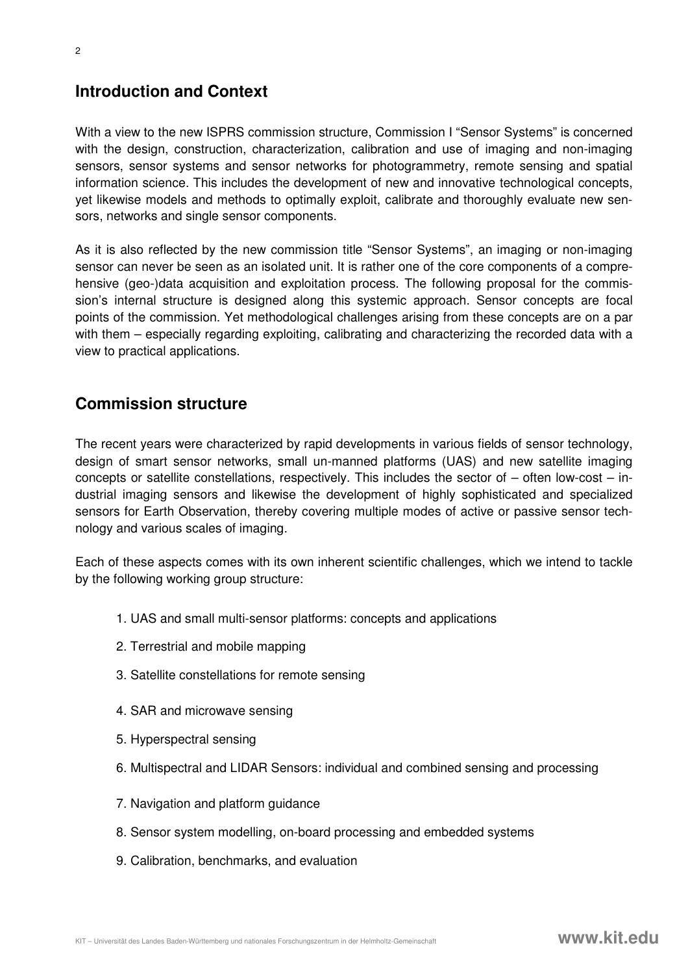## **Introduction and Context**

With a view to the new ISPRS commission structure, Commission I "Sensor Systems" is concerned with the design, construction, characterization, calibration and use of imaging and non-imaging sensors, sensor systems and sensor networks for photogrammetry, remote sensing and spatial information science. This includes the development of new and innovative technological concepts, yet likewise models and methods to optimally exploit, calibrate and thoroughly evaluate new sensors, networks and single sensor components.

As it is also reflected by the new commission title "Sensor Systems", an imaging or non-imaging sensor can never be seen as an isolated unit. It is rather one of the core components of a comprehensive (geo-)data acquisition and exploitation process. The following proposal for the commission's internal structure is designed along this systemic approach. Sensor concepts are focal points of the commission. Yet methodological challenges arising from these concepts are on a par with them – especially regarding exploiting, calibrating and characterizing the recorded data with a view to practical applications.

## **Commission structure**

The recent years were characterized by rapid developments in various fields of sensor technology, design of smart sensor networks, small un-manned platforms (UAS) and new satellite imaging concepts or satellite constellations, respectively. This includes the sector of – often low-cost – industrial imaging sensors and likewise the development of highly sophisticated and specialized sensors for Earth Observation, thereby covering multiple modes of active or passive sensor technology and various scales of imaging.

Each of these aspects comes with its own inherent scientific challenges, which we intend to tackle by the following working group structure:

- 1. UAS and small multi-sensor platforms: concepts and applications
- 2. Terrestrial and mobile mapping
- 3. Satellite constellations for remote sensing
- 4. SAR and microwave sensing
- 5. Hyperspectral sensing
- 6. Multispectral and LIDAR Sensors: individual and combined sensing and processing
- 7. Navigation and platform guidance
- 8. Sensor system modelling, on-board processing and embedded systems
- 9. Calibration, benchmarks, and evaluation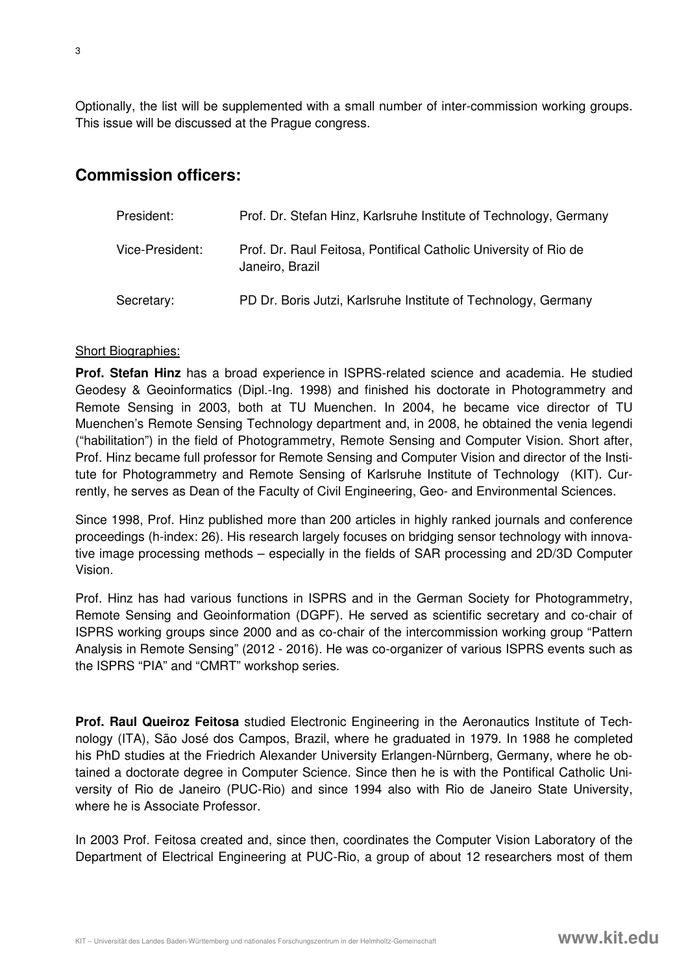Optionally, the list will be supplemented with a small number of inter-commission working groups. This issue will be discussed at the Prague congress.

## **Commission officers:**

| President:      | Prof. Dr. Stefan Hinz, Karlsruhe Institute of Technology, Germany                   |
|-----------------|-------------------------------------------------------------------------------------|
| Vice-President: | Prof. Dr. Raul Feitosa, Pontifical Catholic University of Rio de<br>Janeiro, Brazil |
| Secretary:      | PD Dr. Boris Jutzi, Karlsruhe Institute of Technology, Germany                      |

#### Short Biographies:

**Prof. Stefan Hinz** has a broad experience in ISPRS-related science and academia. He studied Geodesy & Geoinformatics (Dipl.-Ing. 1998) and finished his doctorate in Photogrammetry and Remote Sensing in 2003, both at TU Muenchen. In 2004, he became vice director of TU Muenchen's Remote Sensing Technology department and, in 2008, he obtained the venia legendi ("habilitation") in the field of Photogrammetry, Remote Sensing and Computer Vision. Short after, Prof. Hinz became full professor for Remote Sensing and Computer Vision and director of the Institute for Photogrammetry and Remote Sensing of Karlsruhe Institute of Technology (KIT). Currently, he serves as Dean of the Faculty of Civil Engineering, Geo- and Environmental Sciences.

Since 1998, Prof. Hinz published more than 200 articles in highly ranked journals and conference proceedings (h-index: 26). His research largely focuses on bridging sensor technology with innovative image processing methods – especially in the fields of SAR processing and 2D/3D Computer Vision.

Prof. Hinz has had various functions in ISPRS and in the German Society for Photogrammetry, Remote Sensing and Geoinformation (DGPF). He served as scientific secretary and co-chair of ISPRS working groups since 2000 and as co-chair of the intercommission working group "Pattern Analysis in Remote Sensing" (2012 - 2016). He was co-organizer of various ISPRS events such as the ISPRS "PIA" and "CMRT" workshop series.

**Prof. Raul Queiroz Feitosa** studied Electronic Engineering in the Aeronautics Institute of Technology (ITA), São José dos Campos, Brazil, where he graduated in 1979. In 1988 he completed his PhD studies at the Friedrich Alexander University Erlangen-Nürnberg, Germany, where he obtained a doctorate degree in Computer Science. Since then he is with the Pontifical Catholic University of Rio de Janeiro (PUC-Rio) and since 1994 also with Rio de Janeiro State University, where he is Associate Professor.

In 2003 Prof. Feitosa created and, since then, coordinates the Computer Vision Laboratory of the Department of Electrical Engineering at PUC-Rio, a group of about 12 researchers most of them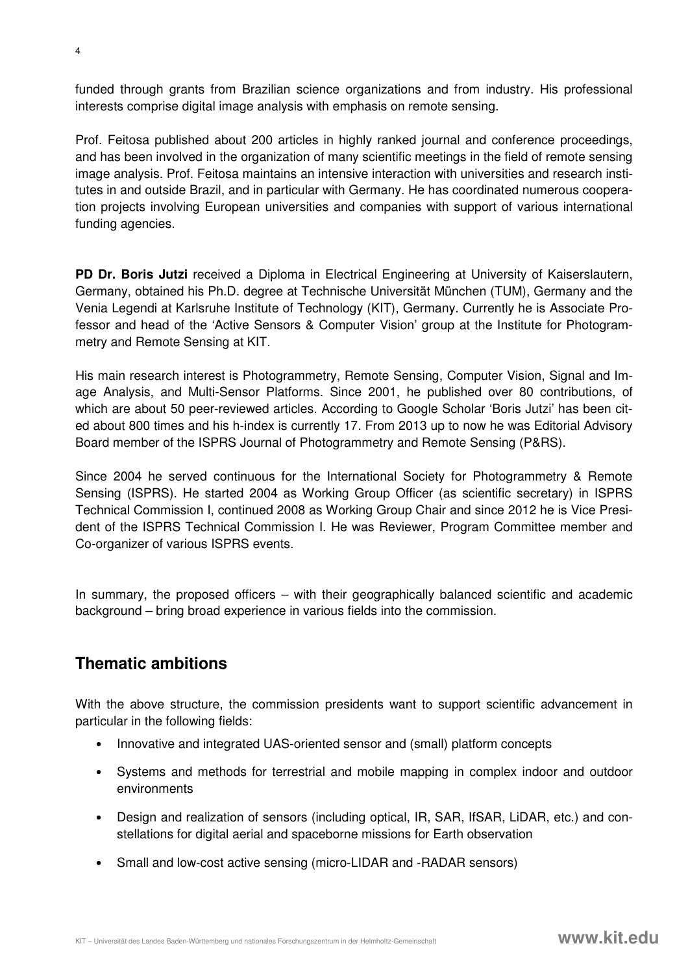funded through grants from Brazilian science organizations and from industry. His professional interests comprise digital image analysis with emphasis on remote sensing.

Prof. Feitosa published about 200 articles in highly ranked journal and conference proceedings, and has been involved in the organization of many scientific meetings in the field of remote sensing image analysis. Prof. Feitosa maintains an intensive interaction with universities and research institutes in and outside Brazil, and in particular with Germany. He has coordinated numerous cooperation projects involving European universities and companies with support of various international funding agencies.

**PD Dr. Boris Jutzi** received a Diploma in Electrical Engineering at University of Kaiserslautern, Germany, obtained his Ph.D. degree at Technische Universität München (TUM), Germany and the Venia Legendi at Karlsruhe Institute of Technology (KIT), Germany. Currently he is Associate Professor and head of the 'Active Sensors & Computer Vision' group at the Institute for Photogrammetry and Remote Sensing at KIT.

His main research interest is Photogrammetry, Remote Sensing, Computer Vision, Signal and Image Analysis, and Multi-Sensor Platforms. Since 2001, he published over 80 contributions, of which are about 50 peer-reviewed articles. According to Google Scholar 'Boris Jutzi' has been cited about 800 times and his h-index is currently 17. From 2013 up to now he was Editorial Advisory Board member of the ISPRS Journal of Photogrammetry and Remote Sensing (P&RS).

Since 2004 he served continuous for the International Society for Photogrammetry & Remote Sensing (ISPRS). He started 2004 as Working Group Officer (as scientific secretary) in ISPRS Technical Commission I, continued 2008 as Working Group Chair and since 2012 he is Vice President of the ISPRS Technical Commission I. He was Reviewer, Program Committee member and Co-organizer of various ISPRS events.

In summary, the proposed officers – with their geographically balanced scientific and academic background – bring broad experience in various fields into the commission.

## **Thematic ambitions**

With the above structure, the commission presidents want to support scientific advancement in particular in the following fields:

- Innovative and integrated UAS-oriented sensor and (small) platform concepts
- Systems and methods for terrestrial and mobile mapping in complex indoor and outdoor environments
- Design and realization of sensors (including optical, IR, SAR, IfSAR, LiDAR, etc.) and constellations for digital aerial and spaceborne missions for Earth observation
- Small and low-cost active sensing (micro-LIDAR and -RADAR sensors)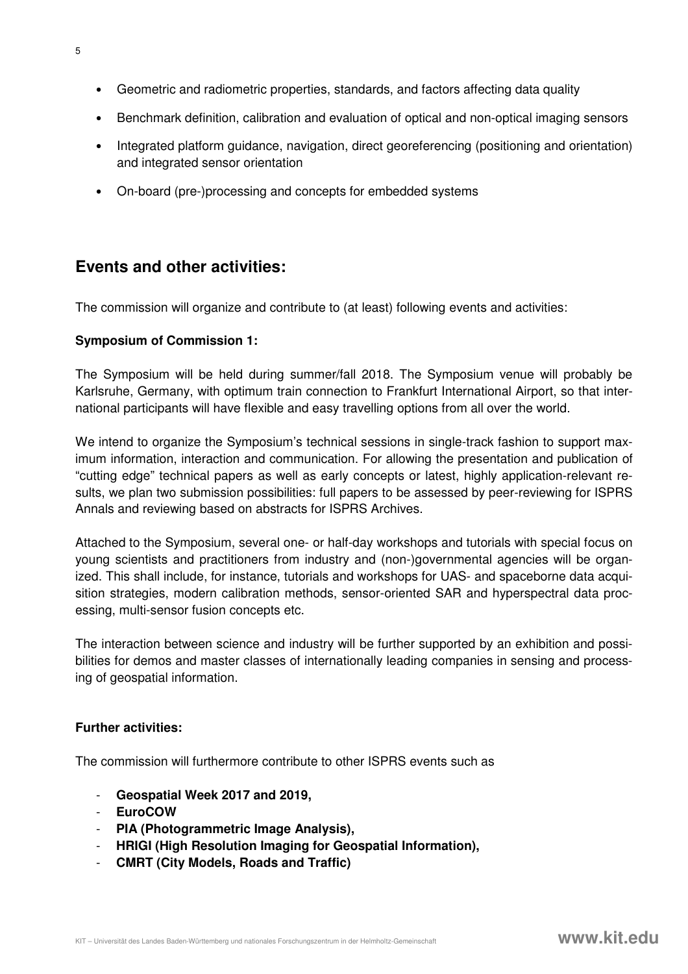- Geometric and radiometric properties, standards, and factors affecting data quality
- Benchmark definition, calibration and evaluation of optical and non-optical imaging sensors
- Integrated platform guidance, navigation, direct georeferencing (positioning and orientation) and integrated sensor orientation
- On-board (pre-)processing and concepts for embedded systems

## **Events and other activities:**

The commission will organize and contribute to (at least) following events and activities:

#### **Symposium of Commission 1:**

The Symposium will be held during summer/fall 2018. The Symposium venue will probably be Karlsruhe, Germany, with optimum train connection to Frankfurt International Airport, so that international participants will have flexible and easy travelling options from all over the world.

We intend to organize the Symposium's technical sessions in single-track fashion to support maximum information, interaction and communication. For allowing the presentation and publication of "cutting edge" technical papers as well as early concepts or latest, highly application-relevant results, we plan two submission possibilities: full papers to be assessed by peer-reviewing for ISPRS Annals and reviewing based on abstracts for ISPRS Archives.

Attached to the Symposium, several one- or half-day workshops and tutorials with special focus on young scientists and practitioners from industry and (non-)governmental agencies will be organized. This shall include, for instance, tutorials and workshops for UAS- and spaceborne data acquisition strategies, modern calibration methods, sensor-oriented SAR and hyperspectral data processing, multi-sensor fusion concepts etc.

The interaction between science and industry will be further supported by an exhibition and possibilities for demos and master classes of internationally leading companies in sensing and processing of geospatial information.

#### **Further activities:**

The commission will furthermore contribute to other ISPRS events such as

- **Geospatial Week 2017 and 2019,**
- **EuroCOW**
- **PIA (Photogrammetric Image Analysis),**
- **HRIGI (High Resolution Imaging for Geospatial Information),**
- **CMRT (City Models, Roads and Traffic)**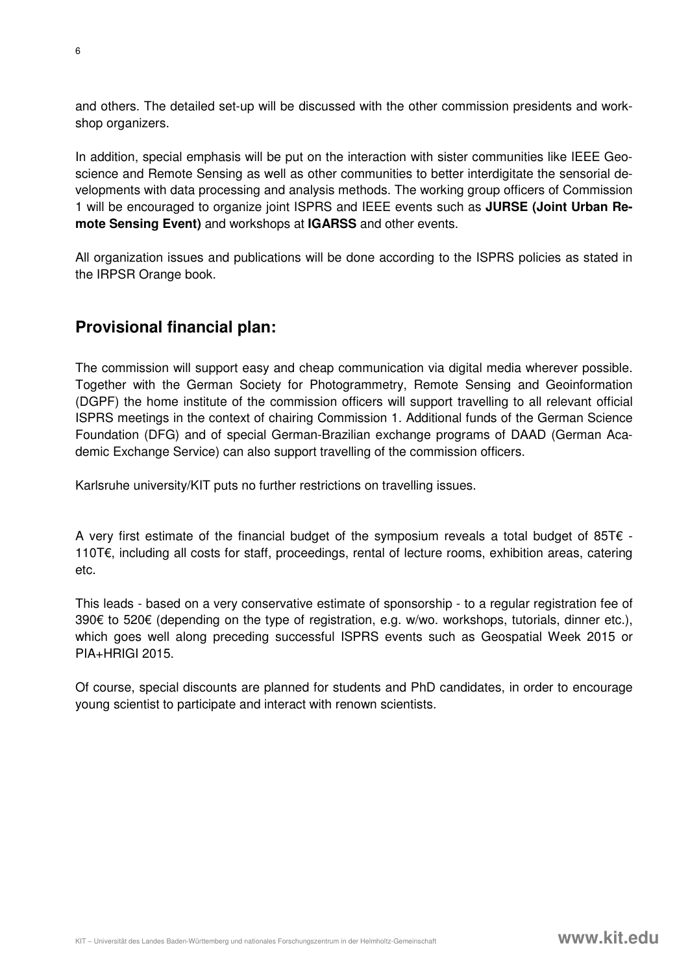and others. The detailed set-up will be discussed with the other commission presidents and workshop organizers.

In addition, special emphasis will be put on the interaction with sister communities like IEEE Geoscience and Remote Sensing as well as other communities to better interdigitate the sensorial developments with data processing and analysis methods. The working group officers of Commission 1 will be encouraged to organize joint ISPRS and IEEE events such as **JURSE (Joint Urban Remote Sensing Event)** and workshops at **IGARSS** and other events.

All organization issues and publications will be done according to the ISPRS policies as stated in the IRPSR Orange book.

## **Provisional financial plan:**

The commission will support easy and cheap communication via digital media wherever possible. Together with the German Society for Photogrammetry, Remote Sensing and Geoinformation (DGPF) the home institute of the commission officers will support travelling to all relevant official ISPRS meetings in the context of chairing Commission 1. Additional funds of the German Science Foundation (DFG) and of special German-Brazilian exchange programs of DAAD (German Academic Exchange Service) can also support travelling of the commission officers.

Karlsruhe university/KIT puts no further restrictions on travelling issues.

A very first estimate of the financial budget of the symposium reveals a total budget of 85T $\epsilon$  -110T€, including all costs for staff, proceedings, rental of lecture rooms, exhibition areas, catering etc.

This leads - based on a very conservative estimate of sponsorship - to a regular registration fee of 390€ to 520€ (depending on the type of registration, e.g. w/wo. workshops, tutorials, dinner etc.), which goes well along preceding successful ISPRS events such as Geospatial Week 2015 or PIA+HRIGI 2015.

Of course, special discounts are planned for students and PhD candidates, in order to encourage young scientist to participate and interact with renown scientists.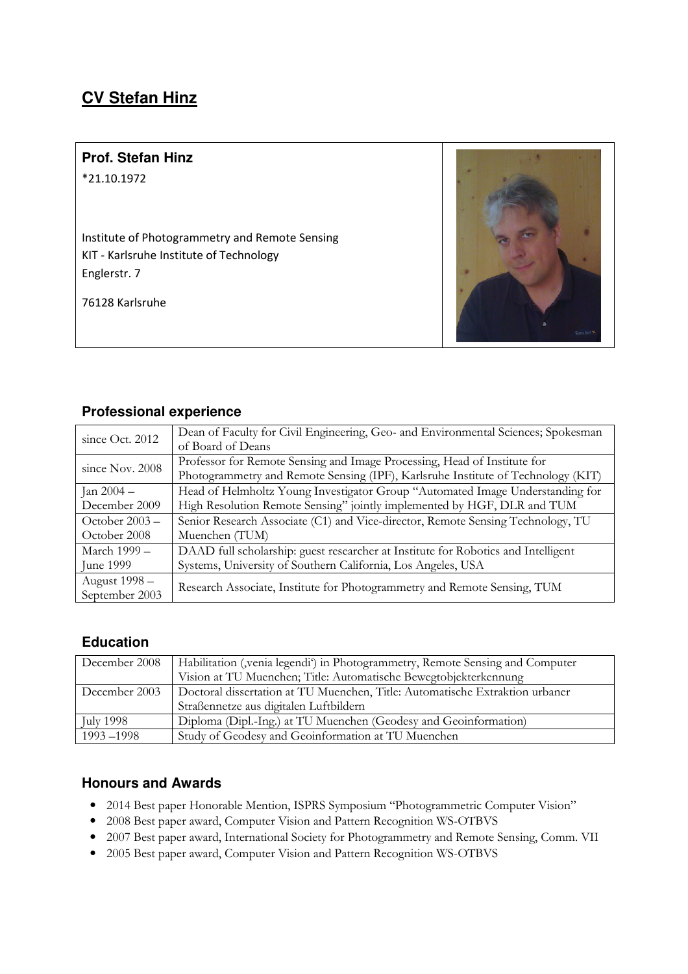## **CV Stefan Hinz**

## **Prof. Stefan Hinz**

\*21.10.1972

Institute of Photogrammetry and Remote Sensing KIT - Karlsruhe Institute of Technology Englerstr. 7

76128 Karlsruhe



### **Professional experience**

| since Oct. 2012  | Dean of Faculty for Civil Engineering, Geo- and Environmental Sciences; Spokesman |  |
|------------------|-----------------------------------------------------------------------------------|--|
|                  | of Board of Deans                                                                 |  |
| since Nov. 2008  | Professor for Remote Sensing and Image Processing, Head of Institute for          |  |
|                  | Photogrammetry and Remote Sensing (IPF), Karlsruhe Institute of Technology (KIT)  |  |
| Jan $2004 -$     | Head of Helmholtz Young Investigator Group "Automated Image Understanding for     |  |
| December 2009    | High Resolution Remote Sensing" jointly implemented by HGF, DLR and TUM           |  |
| October $2003 -$ | Senior Research Associate (C1) and Vice-director, Remote Sensing Technology, TU   |  |
| October 2008     | Muenchen (TUM)                                                                    |  |
| March 1999 –     | DAAD full scholarship: guest researcher at Institute for Robotics and Intelligent |  |
| June 1999        | Systems, University of Southern California, Los Angeles, USA                      |  |
| August 1998 -    | Research Associate, Institute for Photogrammetry and Remote Sensing, TUM          |  |
| September 2003   |                                                                                   |  |

## **Education**

| December 2008    | Habilitation (, venia legendi') in Photogrammetry, Remote Sensing and Computer |
|------------------|--------------------------------------------------------------------------------|
|                  | Vision at TU Muenchen; Title: Automatische Bewegtobjekterkennung               |
| December 2003    | Doctoral dissertation at TU Muenchen, Title: Automatische Extraktion urbaner   |
|                  | Straßennetze aus digitalen Luftbildern                                         |
| <b>July 1998</b> | Diploma (Dipl.-Ing.) at TU Muenchen (Geodesy and Geoinformation)               |
| $1993 - 1998$    | Study of Geodesy and Geoinformation at TU Muenchen                             |

## **Honours and Awards**

- 2014 Best paper Honorable Mention, ISPRS Symposium "Photogrammetric Computer Vision"
- 2008 Best paper award, Computer Vision and Pattern Recognition WS-OTBVS
- 2007 Best paper award, International Society for Photogrammetry and Remote Sensing, Comm. VII
- 2005 Best paper award, Computer Vision and Pattern Recognition WS-OTBVS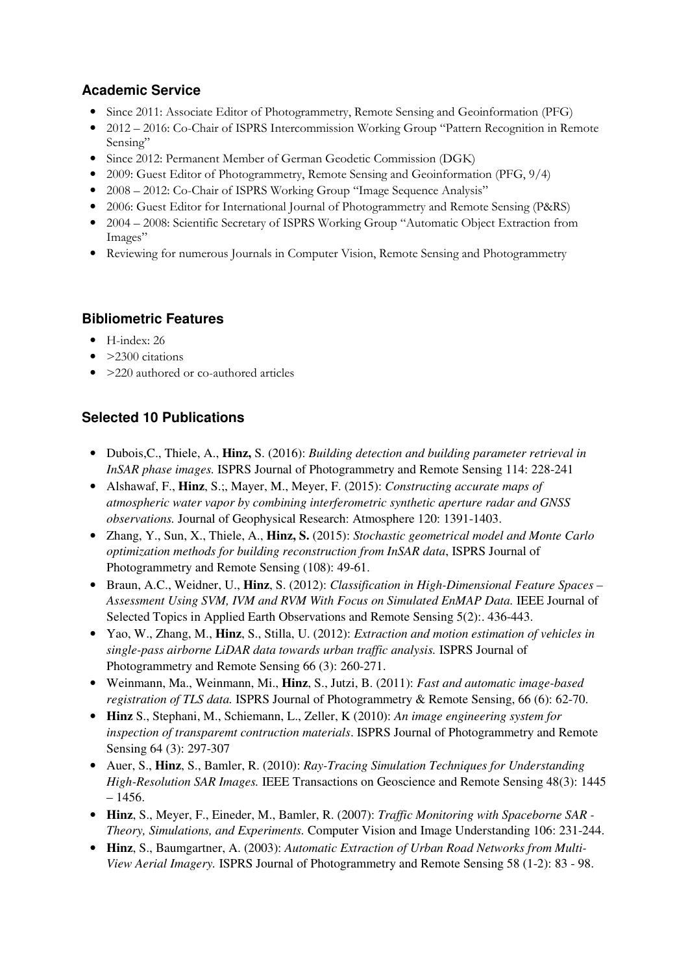## **Academic Service**

- Since 2011: Associate Editor of Photogrammetry, Remote Sensing and Geoinformation (PFG)
- 2012 2016: Co-Chair of ISPRS Intercommission Working Group "Pattern Recognition in Remote Sensing"
- Since 2012: Permanent Member of German Geodetic Commission (DGK)
- 2009: Guest Editor of Photogrammetry, Remote Sensing and Geoinformation (PFG,  $9/4$ )
- 2008 2012: Co-Chair of ISPRS Working Group "Image Sequence Analysis"
- 2006: Guest Editor for International Journal of Photogrammetry and Remote Sensing (P&RS)
- 2004 2008: Scientific Secretary of ISPRS Working Group "Automatic Object Extraction from Images"
- Reviewing for numerous Journals in Computer Vision, Remote Sensing and Photogrammetry

## **Bibliometric Features**

- H-index: 26
- > 2300 citations
- >220 authored or co-authored articles

## **Selected 10 Publications**

- Dubois,C., Thiele, A., **Hinz,** S. (2016): *Building detection and building parameter retrieval in InSAR phase images.* ISPRS Journal of Photogrammetry and Remote Sensing 114: 228-241
- Alshawaf, F., **Hinz**, S.;, Mayer, M., Meyer, F. (2015): *Constructing accurate maps of atmospheric water vapor by combining interferometric synthetic aperture radar and GNSS observations.* Journal of Geophysical Research: Atmosphere 120: 1391-1403.
- Zhang, Y., Sun, X., Thiele, A., **Hinz, S.** (2015): *Stochastic geometrical model and Monte Carlo optimization methods for building reconstruction from InSAR data*, ISPRS Journal of Photogrammetry and Remote Sensing (108): 49-61.
- Braun, A.C., Weidner, U., **Hinz**, S. (2012): *Classification in High-Dimensional Feature Spaces – Assessment Using SVM, IVM and RVM With Focus on Simulated EnMAP Data.* IEEE Journal of Selected Topics in Applied Earth Observations and Remote Sensing 5(2):. 436-443.
- Yao, W., Zhang, M., **Hinz**, S., Stilla, U. (2012): *Extraction and motion estimation of vehicles in single-pass airborne LiDAR data towards urban traffic analysis.* ISPRS Journal of Photogrammetry and Remote Sensing 66 (3): 260-271.
- Weinmann, Ma., Weinmann, Mi., **Hinz**, S., Jutzi, B. (2011): *Fast and automatic image-based registration of TLS data.* ISPRS Journal of Photogrammetry & Remote Sensing, 66 (6): 62-70.
- **Hinz** S., Stephani, M., Schiemann, L., Zeller, K (2010): *An image engineering system for inspection of transparemt contruction materials*. ISPRS Journal of Photogrammetry and Remote Sensing 64 (3): 297-307
- Auer, S., **Hinz**, S., Bamler, R. (2010): *Ray-Tracing Simulation Techniques for Understanding High-Resolution SAR Images.* IEEE Transactions on Geoscience and Remote Sensing 48(3): 1445 – 1456.
- **Hinz**, S., Meyer, F., Eineder, M., Bamler, R. (2007): *Traffic Monitoring with Spaceborne SAR Theory, Simulations, and Experiments.* Computer Vision and Image Understanding 106: 231-244.
- **Hinz**, S., Baumgartner, A. (2003): *Automatic Extraction of Urban Road Networks from Multi-View Aerial Imagery.* ISPRS Journal of Photogrammetry and Remote Sensing 58 (1-2): 83 - 98.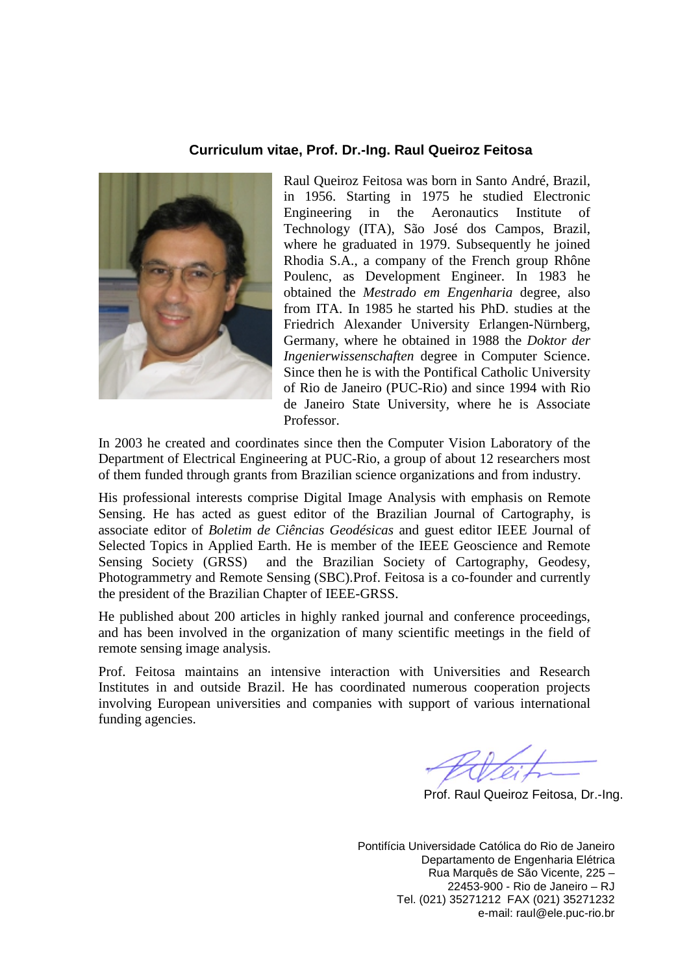#### **Curriculum vitae, Prof. Dr.-Ing. Raul Queiroz Feitosa**



Raul Queiroz Feitosa was born in Santo André, Brazil, in 1956. Starting in 1975 he studied Electronic Engineering in the Aeronautics Institute of Technology (ITA), São José dos Campos, Brazil, where he graduated in 1979. Subsequently he joined Rhodia S.A., a company of the French group Rhône Poulenc, as Development Engineer. In 1983 he obtained the *Mestrado em Engenharia* degree, also from ITA. In 1985 he started his PhD. studies at the Friedrich Alexander University Erlangen-Nürnberg, Germany, where he obtained in 1988 the *Doktor der Ingenierwissenschaften* degree in Computer Science. Since then he is with the Pontifical Catholic University of Rio de Janeiro (PUC-Rio) and since 1994 with Rio de Janeiro State University, where he is Associate Professor.

In 2003 he created and coordinates since then the Computer Vision Laboratory of the Department of Electrical Engineering at PUC-Rio, a group of about 12 researchers most of them funded through grants from Brazilian science organizations and from industry.

His professional interests comprise Digital Image Analysis with emphasis on Remote Sensing. He has acted as guest editor of the Brazilian Journal of Cartography, is associate editor of *Boletim de Ciências Geodésicas* and guest editor IEEE Journal of Selected Topics in Applied Earth. He is member of the IEEE Geoscience and Remote Sensing Society (GRSS) and the Brazilian Society of Cartography, Geodesy, Photogrammetry and Remote Sensing (SBC).Prof. Feitosa is a co-founder and currently the president of the Brazilian Chapter of IEEE-GRSS.

He published about 200 articles in highly ranked journal and conference proceedings, and has been involved in the organization of many scientific meetings in the field of remote sensing image analysis.

Prof. Feitosa maintains an intensive interaction with Universities and Research Institutes in and outside Brazil. He has coordinated numerous cooperation projects involving European universities and companies with support of various international funding agencies.

Prof. Raul Queiroz Feitosa, Dr.-Ing.

Pontifícia Universidade Católica do Rio de Janeiro Departamento de Engenharia Elétrica Rua Marquês de São Vicente, 225 – 22453-900 - Rio de Janeiro – RJ Tel. (021) 35271212 FAX (021) 35271232 e-mail: raul@ele.puc-rio.br